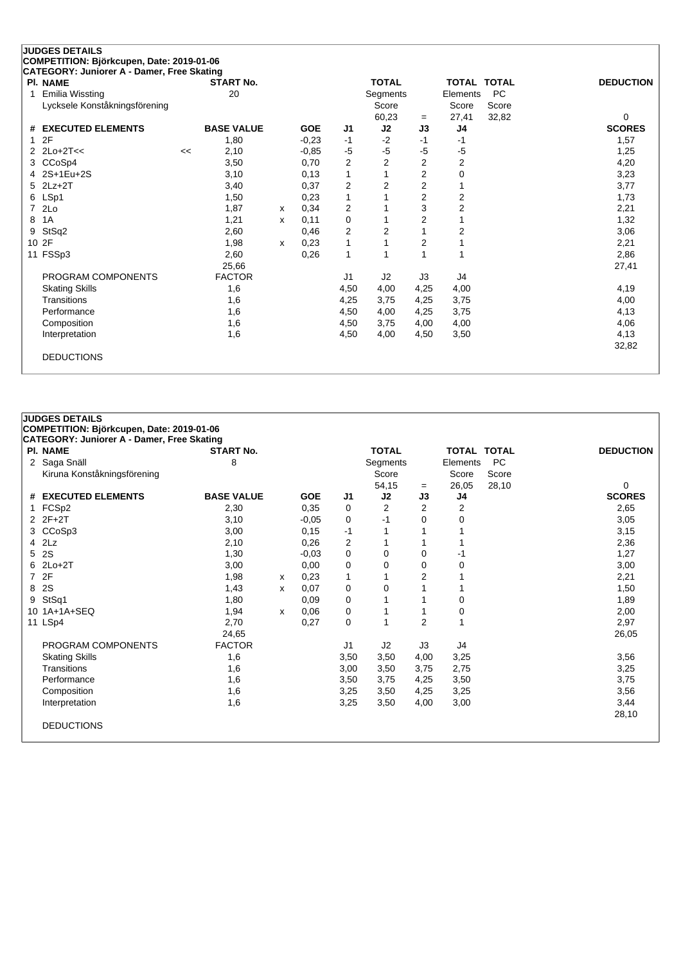| <b>JUDGES DETAILS</b>                      |    |                   |   |            |                |                |                |                |                    |                  |
|--------------------------------------------|----|-------------------|---|------------|----------------|----------------|----------------|----------------|--------------------|------------------|
| COMPETITION: Björkcupen, Date: 2019-01-06  |    |                   |   |            |                |                |                |                |                    |                  |
| CATEGORY: Juniorer A - Damer, Free Skating |    |                   |   |            |                |                |                |                |                    |                  |
| <b>PI. NAME</b>                            |    | <b>START No.</b>  |   |            |                | <b>TOTAL</b>   |                |                | <b>TOTAL TOTAL</b> | <b>DEDUCTION</b> |
| Emilia Wissting                            |    | 20                |   |            |                | Segments       |                | Elements       | <b>PC</b>          |                  |
| Lycksele Konståkningsförening              |    |                   |   |            |                | Score          |                | Score          | Score              |                  |
|                                            |    |                   |   |            |                | 60,23          | $=$            | 27,41          | 32,82              | 0                |
| <b>EXECUTED ELEMENTS</b><br>#              |    | <b>BASE VALUE</b> |   | <b>GOE</b> | J <sub>1</sub> | J2             | J3             | J <sub>4</sub> |                    | <b>SCORES</b>    |
| 2F                                         |    | 1,80              |   | $-0.23$    | $-1$           | $-2$           | $-1$           | $-1$           |                    | 1,57             |
| $2Lo+2T<<$                                 | << | 2,10              |   | $-0,85$    | $-5$           | $-5$           | -5             | $-5$           |                    | 1,25             |
| CCoSp4<br>3                                |    | 3,50              |   | 0,70       | $\overline{2}$ | $\overline{2}$ | $\overline{2}$ | 2              |                    | 4,20             |
| 2S+1Eu+2S                                  |    | 3,10              |   | 0,13       | 1              |                | $\overline{2}$ | $\mathbf 0$    |                    | 3,23             |
| $2Lz+2T$<br>5                              |    | 3,40              |   | 0,37       | 2              | $\overline{2}$ | 2              |                |                    | 3,77             |
| LSp1<br>6                                  |    | 1,50              |   | 0,23       | $\mathbf{1}$   |                | $\overline{c}$ | 2              |                    | 1,73             |
| 2Lo<br>7                                   |    | 1,87              | x | 0,34       | 2              |                | 3              | $\mathbf 2$    |                    | 2,21             |
| 1A<br>8                                    |    | 1,21              | X | 0,11       | 0              |                | 2              |                |                    | 1,32             |
| StSq2<br>9                                 |    | 2,60              |   | 0,46       | $\overline{2}$ | $\overline{2}$ |                | 2              |                    | 3,06             |
| 2F<br>10 <sup>1</sup>                      |    | 1,98              | x | 0,23       | 1              |                | $\overline{2}$ |                |                    | 2,21             |
| 11 FSSp3                                   |    | 2,60              |   | 0,26       | $\mathbf{1}$   |                |                | 1              |                    | 2,86             |
|                                            |    | 25,66             |   |            |                |                |                |                |                    | 27,41            |
| PROGRAM COMPONENTS                         |    | <b>FACTOR</b>     |   |            | J <sub>1</sub> | J2             | J3             | J4             |                    |                  |
| <b>Skating Skills</b>                      |    | 1,6               |   |            | 4,50           | 4,00           | 4,25           | 4,00           |                    | 4,19             |
| Transitions                                |    | 1,6               |   |            | 4,25           | 3,75           | 4,25           | 3,75           |                    | 4,00             |
| Performance                                |    | 1,6               |   |            | 4,50           | 4,00           | 4,25           | 3,75           |                    | 4,13             |
| Composition                                |    | 1,6               |   |            | 4,50           | 3,75           | 4,00           | 4,00           |                    | 4,06             |
| Interpretation                             |    | 1,6               |   |            | 4,50           | 4,00           | 4,50           | 3,50           |                    | 4,13             |
|                                            |    |                   |   |            |                |                |                |                |                    | 32,82            |
| <b>DEDUCTIONS</b>                          |    |                   |   |            |                |                |                |                |                    |                  |
|                                            |    |                   |   |            |                |                |                |                |                    |                  |

|   | <b>JUDGES DETAILS</b>                             |                   |   |            |                |              |                |                    |           |                  |
|---|---------------------------------------------------|-------------------|---|------------|----------------|--------------|----------------|--------------------|-----------|------------------|
|   | COMPETITION: Björkcupen, Date: 2019-01-06         |                   |   |            |                |              |                |                    |           |                  |
|   | <b>CATEGORY: Juniorer A - Damer, Free Skating</b> |                   |   |            |                |              |                |                    |           |                  |
|   | <b>PI. NAME</b>                                   | <b>START No.</b>  |   |            |                | <b>TOTAL</b> |                | <b>TOTAL TOTAL</b> |           | <b>DEDUCTION</b> |
|   | 2 Saga Snäll                                      | 8                 |   |            |                | Segments     |                | Elements           | <b>PC</b> |                  |
|   | Kiruna Konståkningsförening                       |                   |   |            |                | Score        |                | Score              | Score     |                  |
|   |                                                   |                   |   |            |                | 54,15        | $=$            | 26,05              | 28,10     | 0                |
|   | # EXECUTED ELEMENTS                               | <b>BASE VALUE</b> |   | <b>GOE</b> | J <sub>1</sub> | J2           | J3             | J4                 |           | <b>SCORES</b>    |
|   | FCSp2                                             | 2,30              |   | 0.35       | 0              | 2            | $\overline{2}$ | $\overline{2}$     |           | 2,65             |
|   | 2 2F+2T                                           | 3,10              |   | $-0.05$    | 0              | -1           | $\Omega$       | $\mathbf 0$        |           | 3,05             |
|   | 3 CCoSp3                                          | 3,00              |   | 0,15       | -1             |              |                |                    |           | 3,15             |
|   | $4$ $2Lz$                                         | 2,10              |   | 0,26       | 2              |              |                |                    |           | 2,36             |
|   | 5 2S                                              | 1,30              |   | $-0,03$    | 0              | $\mathbf 0$  | 0              | -1                 |           | 1,27             |
|   | 6 2Lo+2T                                          | 3,00              |   | 0,00       | 0              | $\Omega$     | $\Omega$       | 0                  |           | 3,00             |
|   | 7 2F                                              | 1,98              | х | 0,23       | 1              |              | $\overline{2}$ |                    |           | 2,21             |
|   | 8 2S                                              | 1,43              | X | 0,07       | 0              | 0            |                |                    |           | 1,50             |
| 9 | StSq1                                             | 1,80              |   | 0.09       | 0              |              |                | $\Omega$           |           | 1,89             |
|   | 10 1A+1A+SEQ                                      | 1,94              | X | 0.06       | 0              |              |                | 0                  |           | 2,00             |
|   | 11 LSp4                                           | 2,70              |   | 0,27       | 0              | 1            | $\overline{2}$ | 1                  |           | 2,97             |
|   |                                                   | 24,65             |   |            |                |              |                |                    |           | 26,05            |
|   | PROGRAM COMPONENTS                                | <b>FACTOR</b>     |   |            | J1             | J2           | J3             | J4                 |           |                  |
|   | <b>Skating Skills</b>                             | 1,6               |   |            | 3,50           | 3,50         | 4,00           | 3,25               |           | 3,56             |
|   | Transitions                                       | 1,6               |   |            | 3,00           | 3,50         | 3,75           | 2,75               |           | 3,25             |
|   | Performance                                       | 1,6               |   |            | 3,50           | 3,75         | 4,25           | 3,50               |           | 3,75             |
|   | Composition                                       | 1,6               |   |            | 3,25           | 3,50         | 4,25           | 3,25               |           | 3,56             |
|   | Interpretation                                    | 1,6               |   |            | 3,25           | 3,50         | 4,00           | 3,00               |           | 3,44             |
|   |                                                   |                   |   |            |                |              |                |                    |           | 28,10            |
|   | <b>DEDUCTIONS</b>                                 |                   |   |            |                |              |                |                    |           |                  |
|   |                                                   |                   |   |            |                |              |                |                    |           |                  |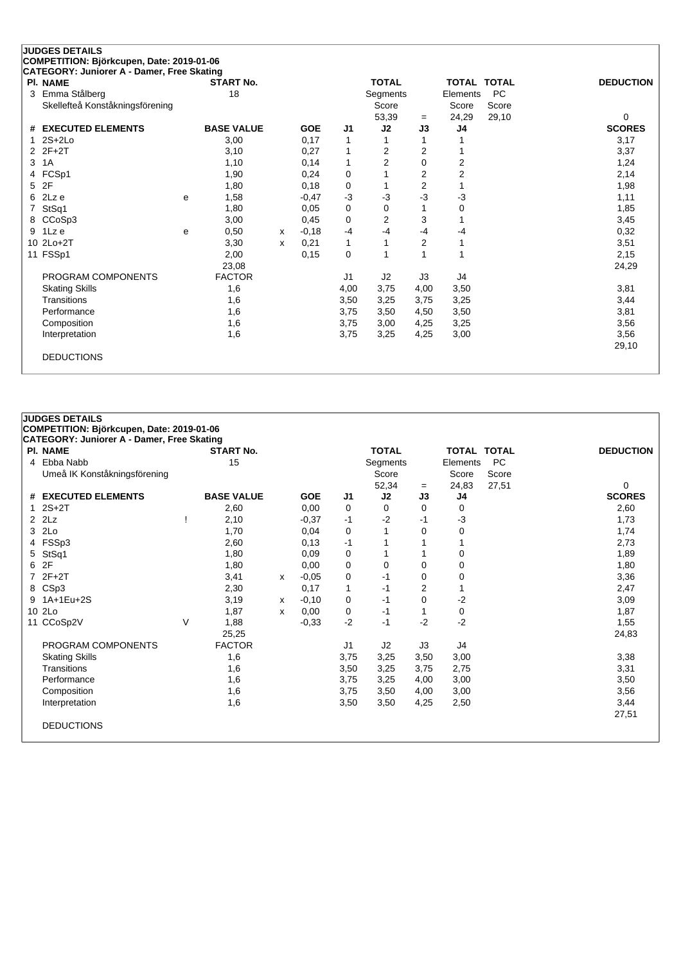| CATEGORY: Juniorer A - Damer, Free Skating<br><b>PI. NAME</b> |   | <b>START No.</b>  |   |            |              | <b>TOTAL</b>   |                | <b>TOTAL TOTAL</b> |           | <b>DEDUCTION</b> |
|---------------------------------------------------------------|---|-------------------|---|------------|--------------|----------------|----------------|--------------------|-----------|------------------|
| Emma Stålberg<br>3                                            |   | 18                |   |            |              | Segments       |                | Elements           | <b>PC</b> |                  |
| Skellefteå Konståkningsförening                               |   |                   |   |            |              | Score          |                | Score              | Score     |                  |
|                                                               |   |                   |   |            |              | 53,39          | $=$            | 24,29              | 29,10     | 0                |
| # EXECUTED ELEMENTS                                           |   | <b>BASE VALUE</b> |   | <b>GOE</b> | J1           | J2             | J3             | J4                 |           | <b>SCORES</b>    |
| $2S+2Lo$                                                      |   | 3,00              |   | 0,17       | 1            |                |                |                    |           | 3,17             |
| $2F+2T$<br>2                                                  |   | 3,10              |   | 0,27       | 1            | $\overline{2}$ | $\overline{2}$ |                    |           | 3,37             |
| 3<br>1A                                                       |   | 1,10              |   | 0,14       | 1            | $\overline{2}$ | $\Omega$       | $\overline{2}$     |           | 1,24             |
| FCSp1<br>4                                                    |   | 1,90              |   | 0,24       | 0            |                | $\overline{2}$ | $\overline{c}$     |           | 2,14             |
| 2F<br>5                                                       |   | 1,80              |   | 0,18       | 0            |                | 2              |                    |           | 1,98             |
| 2Lz e<br>6                                                    | e | 1,58              |   | $-0,47$    | $-3$         | -3             | -3             | $-3$               |           | 1,11             |
| StSq1                                                         |   | 1,80              |   | 0,05       | 0            | 0              |                | $\mathbf 0$        |           | 1,85             |
| CCoSp3<br>8                                                   |   | 3,00              |   | 0,45       | 0            | $\overline{2}$ | 3              |                    |           | 3,45             |
| 1Lz e<br>9                                                    | е | 0,50              | x | $-0,18$    | $-4$         | $-4$           | -4             | $-4$               |           | 0,32             |
| 10 2Lo+2T                                                     |   | 3,30              | x | 0,21       | $\mathbf{1}$ |                | 2              | 1                  |           | 3,51             |
| 11 FSSp1                                                      |   | 2,00              |   | 0,15       | $\mathbf 0$  |                |                | 1                  |           | 2,15             |
|                                                               |   | 23,08             |   |            |              |                |                |                    |           | 24,29            |
| PROGRAM COMPONENTS                                            |   | <b>FACTOR</b>     |   |            | J1           | J2             | J3             | J4                 |           |                  |
| <b>Skating Skills</b>                                         |   | 1,6               |   |            | 4,00         | 3,75           | 4,00           | 3,50               |           | 3,81             |
| Transitions                                                   |   | 1,6               |   |            | 3,50         | 3,25           | 3,75           | 3,25               |           | 3,44             |
| Performance                                                   |   | 1,6               |   |            | 3,75         | 3,50           | 4,50           | 3,50               |           | 3,81             |
| Composition                                                   |   | 1,6               |   |            | 3,75         | 3,00           | 4,25           | 3,25               |           | 3,56             |
| Interpretation                                                |   | 1,6               |   |            | 3,75         | 3,25           | 4,25           | 3,00               |           | 3,56             |
|                                                               |   |                   |   |            |              |                |                |                    |           | 29,10            |

| PI. NAME                     |   | <b>START No.</b>  |   |            |                | <b>TOTAL</b> |          | <b>TOTAL TOTAL</b> |       | <b>DEDUCTION</b> |
|------------------------------|---|-------------------|---|------------|----------------|--------------|----------|--------------------|-------|------------------|
| 4 Ebba Nabb                  |   | 15                |   |            |                | Segments     |          | Elements           | PC    |                  |
| Umeå IK Konståkningsförening |   |                   |   |            |                | Score        |          | Score              | Score |                  |
|                              |   |                   |   |            |                | 52,34        | $=$      | 24,83              | 27,51 | 0                |
| # EXECUTED ELEMENTS          |   | <b>BASE VALUE</b> |   | <b>GOE</b> | J <sub>1</sub> | J2           | J3       | J4                 |       | <b>SCORES</b>    |
| $2S+2T$                      |   | 2,60              |   | 0,00       | 0              | 0            | $\Omega$ | 0                  |       | 2,60             |
| $2$ $2Lz$                    |   | 2,10              |   | $-0.37$    | $-1$           | $-2$         | -1       | $-3$               |       | 1,73             |
| 3 2Lo                        |   | 1,70              |   | 0,04       | 0              |              | $\Omega$ | 0                  |       | 1,74             |
| 4 FSSp3                      |   | 2,60              |   | 0,13       | $-1$           |              |          |                    |       | 2,73             |
| 5 StSq1                      |   | 1,80              |   | 0,09       | 0              |              |          | $\mathbf 0$        |       | 1,89             |
| 6 2F                         |   | 1,80              |   | 0,00       | 0              | $\mathbf 0$  | $\Omega$ | $\mathbf 0$        |       | 1,80             |
| 7 2F+2T                      |   | 3,41              | х | $-0,05$    | 0              | -1           | 0        | 0                  |       | 3,36             |
| 8 CSp3                       |   | 2,30              |   | 0,17       | $\mathbf{1}$   | -1           | 2        |                    |       | 2,47             |
| 9 1A+1Eu+2S                  |   | 3,19              | х | $-0,10$    | 0              | $-1$         | $\Omega$ | -2                 |       | 3,09             |
| 10 2Lo                       |   | 1,87              | х | 0,00       | 0              | -1           |          | 0                  |       | 1,87             |
| 11 CCoSp2V                   | V | 1,88              |   | $-0.33$    | $-2$           | -1           | $-2$     | $-2$               |       | 1,55             |
|                              |   | 25,25             |   |            |                |              |          |                    |       | 24,83            |
| PROGRAM COMPONENTS           |   | <b>FACTOR</b>     |   |            | J1             | J2           | J3       | J4                 |       |                  |
| <b>Skating Skills</b>        |   | 1,6               |   |            | 3,75           | 3,25         | 3,50     | 3,00               |       | 3,38             |
| Transitions                  |   | 1,6               |   |            | 3,50           | 3,25         | 3,75     | 2,75               |       | 3,31             |
| Performance                  |   | 1,6               |   |            | 3,75           | 3,25         | 4,00     | 3,00               |       | 3,50             |
| Composition                  |   | 1,6               |   |            | 3,75           | 3,50         | 4,00     | 3,00               |       | 3,56             |
| Interpretation               |   | 1,6               |   |            | 3,50           | 3,50         | 4,25     | 2,50               |       | 3,44             |
|                              |   |                   |   |            |                |              |          |                    |       | 27,51            |
| <b>DEDUCTIONS</b>            |   |                   |   |            |                |              |          |                    |       |                  |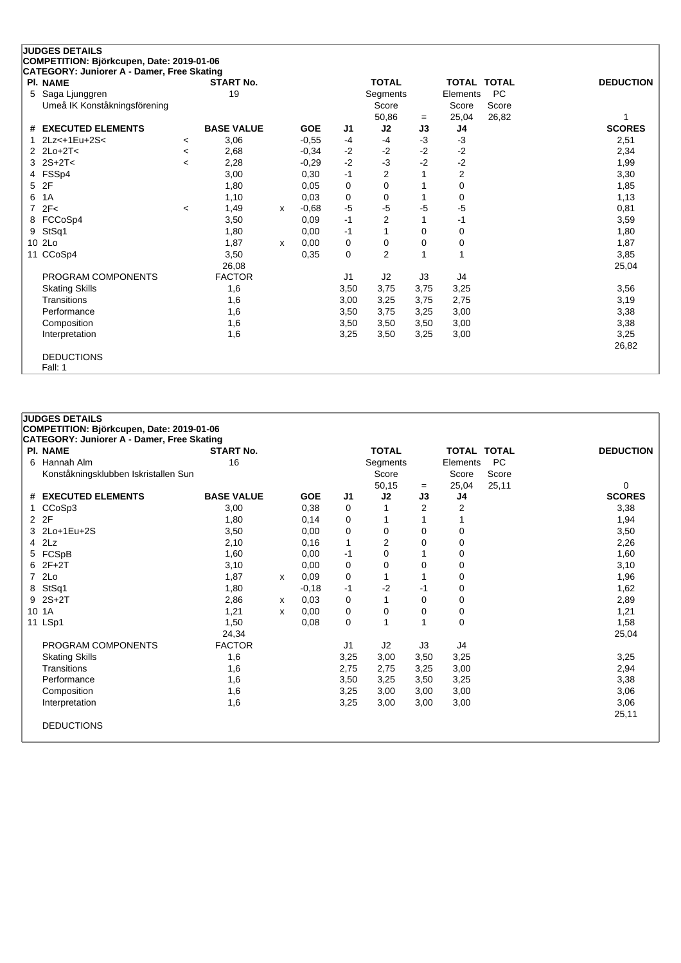|    | <b>JUDGES DETAILS</b>                      |                |                   |              |            |                |                |          |                         |           |                  |
|----|--------------------------------------------|----------------|-------------------|--------------|------------|----------------|----------------|----------|-------------------------|-----------|------------------|
|    | COMPETITION: Björkcupen, Date: 2019-01-06  |                |                   |              |            |                |                |          |                         |           |                  |
|    | CATEGORY: Juniorer A - Damer, Free Skating |                |                   |              |            |                |                |          |                         |           |                  |
|    | <b>PI. NAME</b>                            |                | <b>START No.</b>  |              |            |                | <b>TOTAL</b>   |          | <b>TOTAL TOTAL</b>      |           | <b>DEDUCTION</b> |
| 5  | Saga Ljunggren                             |                | 19                |              |            |                | Segments       |          | Elements                | <b>PC</b> |                  |
|    | Umeå IK Konståkningsförening               |                |                   |              |            |                | Score          |          | Score                   | Score     |                  |
|    |                                            |                |                   |              |            |                | 50,86          | $=$      | 25,04                   | 26,82     |                  |
| #  | <b>EXECUTED ELEMENTS</b>                   |                | <b>BASE VALUE</b> |              | <b>GOE</b> | J1             | J2             | J3       | J4                      |           | <b>SCORES</b>    |
|    | $2Lz11Eu+2S2$                              | $\prec$        | 3,06              |              | $-0,55$    | $-4$           | $-4$           | $-3$     | $-3$                    |           | 2,51             |
|    | $2$ $2$ $Lo+2$ T<                          | $\,<\,$        | 2,68              |              | $-0.34$    | $-2$           | $-2$           | $-2$     | $-2$                    |           | 2,34             |
|    | $2S+2T<$                                   | $\overline{a}$ | 2,28              |              | $-0.29$    | $-2$           | $-3$           | $-2$     | $-2$                    |           | 1,99             |
| 4  | FSSp4                                      |                | 3,00              |              | 0,30       | $-1$           | $\overline{2}$ |          | $\overline{\mathbf{c}}$ |           | 3,30             |
| 5  | 2F                                         |                | 1,80              |              | 0.05       | 0              | 0              |          | $\mathbf 0$             |           | 1,85             |
| 6  | 1A                                         |                | 1,10              |              | 0,03       | $\mathbf 0$    | $\Omega$       |          | $\Omega$                |           | 1,13             |
| 7  | 2F<                                        | $\,<\,$        | 1,49              | x            | $-0,68$    | $-5$           | -5             | $-5$     | $-5$                    |           | 0,81             |
| 8  | FCCoSp4                                    |                | 3,50              |              | 0,09       | $-1$           | 2              |          | -1                      |           | 3,59             |
| 9  | StSq1                                      |                | 1,80              |              | 0.00       | $-1$           |                | $\Omega$ | $\mathbf 0$             |           | 1,80             |
| 10 | 2Lo                                        |                | 1,87              | $\mathsf{x}$ | 0,00       | 0              | 0              | 0        | 0                       |           | 1,87             |
| 11 | CCoSp4                                     |                | 3,50              |              | 0,35       | $\Omega$       | $\overline{2}$ |          | 1                       |           | 3,85             |
|    |                                            |                | 26,08             |              |            |                |                |          |                         |           | 25,04            |
|    | PROGRAM COMPONENTS                         |                | <b>FACTOR</b>     |              |            | J <sub>1</sub> | J2             | J3       | J4                      |           |                  |
|    | <b>Skating Skills</b>                      |                | 1,6               |              |            | 3,50           | 3,75           | 3,75     | 3,25                    |           | 3,56             |
|    | Transitions                                |                | 1,6               |              |            | 3,00           | 3,25           | 3,75     | 2,75                    |           | 3,19             |
|    | Performance                                |                | 1,6               |              |            | 3,50           | 3,75           | 3,25     | 3,00                    |           | 3,38             |
|    | Composition                                |                | 1,6               |              |            | 3,50           | 3,50           | 3,50     | 3,00                    |           | 3,38             |
|    | Interpretation                             |                | 1,6               |              |            | 3,25           | 3,50           | 3,25     | 3,00                    |           | 3,25             |
|    |                                            |                |                   |              |            |                |                |          |                         |           | 26,82            |
|    | <b>DEDUCTIONS</b>                          |                |                   |              |            |                |                |          |                         |           |                  |
|    | Fall: 1                                    |                |                   |              |            |                |                |          |                         |           |                  |

| <b>JUDGES DETAILS</b><br>COMPETITION: Björkcupen, Date: 2019-01-06 |                   |   |            |      |                |                |                    |           |                  |
|--------------------------------------------------------------------|-------------------|---|------------|------|----------------|----------------|--------------------|-----------|------------------|
| <b>CATEGORY: Juniorer A - Damer, Free Skating</b>                  |                   |   |            |      |                |                |                    |           |                  |
| <b>PI. NAME</b>                                                    | <b>START No.</b>  |   |            |      | <b>TOTAL</b>   |                | <b>TOTAL TOTAL</b> |           | <b>DEDUCTION</b> |
| 6 Hannah Alm                                                       | 16                |   |            |      | Segments       |                | Elements           | <b>PC</b> |                  |
| Konståkningsklubben Iskristallen Sun                               |                   |   |            |      | Score          |                | Score              | Score     |                  |
|                                                                    |                   |   |            |      | 50,15          | $=$            | 25,04              | 25,11     | $\Omega$         |
| # EXECUTED ELEMENTS                                                | <b>BASE VALUE</b> |   | <b>GOE</b> | J1   | J2             | J3             | J4                 |           | <b>SCORES</b>    |
| CCoSp3                                                             | 3,00              |   | 0,38       | 0    |                | $\overline{2}$ | 2                  |           | 3,38             |
| 2 2F                                                               | 1,80              |   | 0,14       | 0    |                |                |                    |           | 1,94             |
| 3 2Lo+1Eu+2S                                                       | 3,50              |   | 0,00       | 0    | 0              | 0              | 0                  |           | 3,50             |
| $4$ $2Lz$                                                          | 2,10              |   | 0,16       | 1    | $\overline{2}$ | 0              | 0                  |           | 2,26             |
| 5 FCSpB                                                            | 1,60              |   | 0,00       | -1   | 0              |                | 0                  |           | 1,60             |
| $62F+2T$                                                           | 3,10              |   | 0,00       | 0    | 0              | $\Omega$       | 0                  |           | 3,10             |
| 7 2Lo                                                              | 1,87              | X | 0,09       | 0    | 1              |                | 0                  |           | 1,96             |
| 8 StSq1                                                            | 1,80              |   | $-0,18$    | $-1$ | $-2$           | $-1$           | 0                  |           | 1,62             |
| $9 2S + 2T$                                                        | 2,86              | X | 0,03       | 0    | 1              | 0              | 0                  |           | 2,89             |
| 10 1A                                                              | 1,21              | X | 0,00       | 0    | 0              | 0              | 0                  |           | 1,21             |
| 11 LSp1                                                            | 1,50              |   | 0,08       | 0    | 1              |                | 0                  |           | 1,58             |
|                                                                    | 24,34             |   |            |      |                |                |                    |           | 25,04            |
| PROGRAM COMPONENTS                                                 | <b>FACTOR</b>     |   |            | J1   | J2             | J3             | J4                 |           |                  |
| <b>Skating Skills</b>                                              | 1,6               |   |            | 3,25 | 3,00           | 3,50           | 3,25               |           | 3,25             |
| Transitions                                                        | 1,6               |   |            | 2,75 | 2,75           | 3,25           | 3,00               |           | 2,94             |
| Performance                                                        | 1,6               |   |            | 3,50 | 3,25           | 3,50           | 3,25               |           | 3,38             |
| Composition                                                        | 1,6               |   |            | 3,25 | 3,00           | 3,00           | 3,00               |           | 3,06             |
| Interpretation                                                     | 1,6               |   |            | 3,25 | 3,00           | 3,00           | 3,00               |           | 3,06             |
|                                                                    |                   |   |            |      |                |                |                    |           | 25,11            |
| <b>DEDUCTIONS</b>                                                  |                   |   |            |      |                |                |                    |           |                  |
|                                                                    |                   |   |            |      |                |                |                    |           |                  |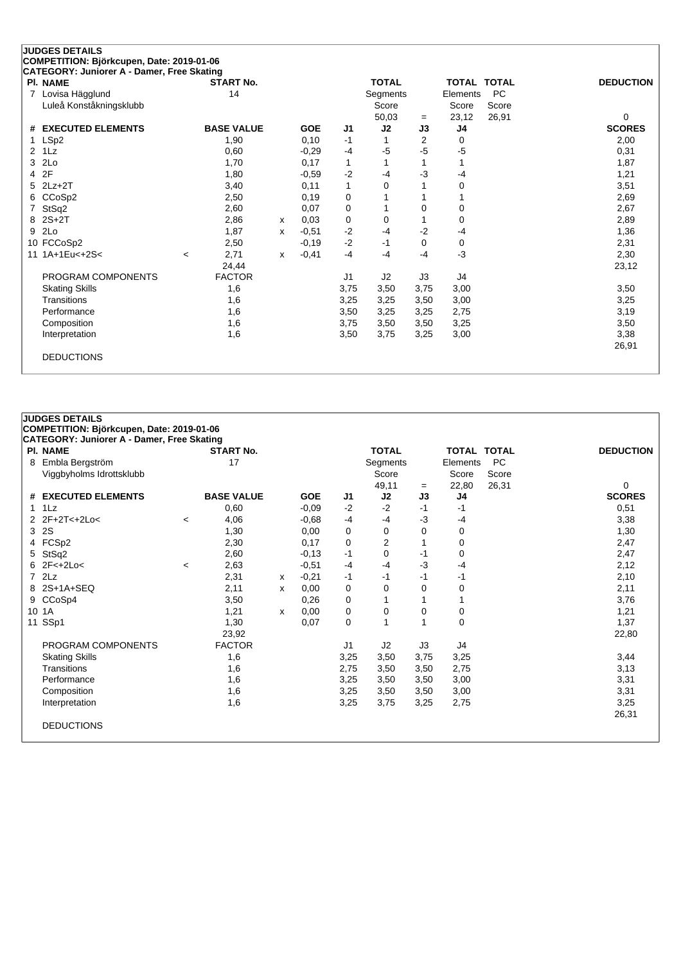| <b>JUDGES DETAILS</b>                                                                   |       |                   |              |            |      |              |                |          |                    |                  |
|-----------------------------------------------------------------------------------------|-------|-------------------|--------------|------------|------|--------------|----------------|----------|--------------------|------------------|
| COMPETITION: Björkcupen, Date: 2019-01-06<br>CATEGORY: Juniorer A - Damer, Free Skating |       |                   |              |            |      |              |                |          |                    |                  |
| <b>PI. NAME</b>                                                                         |       | <b>START No.</b>  |              |            |      | <b>TOTAL</b> |                |          | <b>TOTAL TOTAL</b> | <b>DEDUCTION</b> |
| Lovisa Hägglund<br>7                                                                    |       | 14                |              |            |      | Segments     |                | Elements | <b>PC</b>          |                  |
| Luleå Konståkningsklubb                                                                 |       |                   |              |            |      | Score        |                | Score    | Score              |                  |
|                                                                                         |       |                   |              |            |      | 50,03        | $=$            | 23,12    | 26,91              | 0                |
| <b>EXECUTED ELEMENTS</b><br>#                                                           |       | <b>BASE VALUE</b> |              | <b>GOE</b> | J1   | J2           | J3             | J4       |                    | <b>SCORES</b>    |
| LSp2                                                                                    |       | 1,90              |              | 0,10       | $-1$ |              | $\overline{2}$ | 0        |                    | 2,00             |
| 1 <sub>L</sub> z<br>2                                                                   |       | 0,60              |              | $-0.29$    | $-4$ | $-5$         | -5             | $-5$     |                    | 0,31             |
| 2Lo<br>3                                                                                |       | 1,70              |              | 0,17       | 1    | 1            | 1              |          |                    | 1,87             |
| 2F<br>4                                                                                 |       | 1,80              |              | $-0,59$    | $-2$ | $-4$         | -3             | $-4$     |                    | 1,21             |
| $2Lz+2T$<br>5                                                                           |       | 3,40              |              | 0,11       | 1    | 0            |                | 0        |                    | 3,51             |
| CCoSp2<br>6                                                                             |       | 2,50              |              | 0.19       | 0    |              |                |          |                    | 2,69             |
| StSq2                                                                                   |       | 2,60              |              | 0,07       | 0    |              | 0              | 0        |                    | 2,67             |
| $2S+2T$<br>8                                                                            |       | 2,86              | $\mathsf{x}$ | 0.03       | 0    | 0            |                | 0        |                    | 2,89             |
| 2Lo<br>9                                                                                |       | 1,87              | x            | $-0,51$    | $-2$ | $-4$         | $-2$           | -4       |                    | 1,36             |
| 10 FCCoSp2                                                                              |       | 2,50              |              | $-0,19$    | $-2$ | $-1$         | 0              | 0        |                    | 2,31             |
| 11 1A+1Eu<+2S<                                                                          | $\,<$ | 2,71              | $\mathsf{x}$ | $-0,41$    | $-4$ | $-4$         | -4             | $-3$     |                    | 2,30             |
|                                                                                         |       | 24,44             |              |            |      |              |                |          |                    | 23,12            |
| PROGRAM COMPONENTS                                                                      |       | <b>FACTOR</b>     |              |            | J1   | J2           | J3             | J4       |                    |                  |
| <b>Skating Skills</b>                                                                   |       | 1,6               |              |            | 3,75 | 3,50         | 3,75           | 3,00     |                    | 3,50             |
| Transitions                                                                             |       | 1,6               |              |            | 3,25 | 3,25         | 3,50           | 3,00     |                    | 3,25             |
| Performance                                                                             |       | 1,6               |              |            | 3,50 | 3,25         | 3,25           | 2,75     |                    | 3,19             |
| Composition                                                                             |       | 1,6               |              |            | 3,75 | 3,50         | 3,50           | 3,25     |                    | 3,50             |
| Interpretation                                                                          |       | 1,6               |              |            | 3,50 | 3,75         | 3,25           | 3,00     |                    | 3,38             |
|                                                                                         |       |                   |              |            |      |              |                |          |                    | 26,91            |
| <b>DEDUCTIONS</b>                                                                       |       |                   |              |            |      |              |                |          |                    |                  |
|                                                                                         |       |                   |              |            |      |              |                |          |                    |                  |

| CATEGORY: Juniorer A - Damer, Free Skating<br>PI. NAME |                          | <b>START No.</b>  |   |            |                | <b>TOTAL</b> |          | <b>TOTAL TOTAL</b> |           | <b>DEDUCTION</b> |
|--------------------------------------------------------|--------------------------|-------------------|---|------------|----------------|--------------|----------|--------------------|-----------|------------------|
| 8 Embla Bergström                                      |                          | 17                |   |            |                | Segments     |          | Elements           | <b>PC</b> |                  |
| Viggbyholms Idrottsklubb                               |                          |                   |   |            |                | Score        |          | Score              | Score     |                  |
|                                                        |                          |                   |   |            |                | 49,11        | $=$      | 22,80              | 26,31     | 0                |
| # EXECUTED ELEMENTS                                    |                          | <b>BASE VALUE</b> |   | <b>GOE</b> | J <sub>1</sub> | J2           | J3       | J <sub>4</sub>     |           | <b>SCORES</b>    |
| $1$ $1$ $1$                                            |                          | 0,60              |   | $-0.09$    | $-2$           | $-2$         | -1       | -1                 |           | 0,51             |
| 2 2F+2T<+2Lo<                                          | $\overline{\phantom{a}}$ | 4,06              |   | $-0.68$    | $-4$           | $-4$         | $-3$     | -4                 |           | 3,38             |
| 3 2S                                                   |                          | 1,30              |   | 0,00       | 0              | 0            | $\Omega$ | 0                  |           | 1,30             |
| 4 FCSp2                                                |                          | 2,30              |   | 0,17       | $\mathbf 0$    | 2            |          | 0                  |           | 2,47             |
| 5 StSq2                                                |                          | 2,60              |   | $-0,13$    | $-1$           | 0            | -1       | 0                  |           | 2,47             |
| $6$ 2F<+2Lo<                                           | $\,<\,$                  | 2,63              |   | $-0,51$    | $-4$           | $-4$         | -3       | -4                 |           | 2,12             |
| $7$ $2Lz$                                              |                          | 2,31              | x | $-0,21$    | $-1$           | -1           | -1       | -1                 |           | 2,10             |
| 8 2S+1A+SEQ                                            |                          | 2,11              | х | 0,00       | 0              | $\Omega$     | $\Omega$ | 0                  |           | 2,11             |
| 9 CCoSp4                                               |                          | 3,50              |   | 0,26       | 0              | 1            |          |                    |           | 3,76             |
| 10 1A                                                  |                          | 1,21              | х | 0,00       | 0              | 0            | 0        | 0                  |           | 1,21             |
| 11 SSp1                                                |                          | 1,30              |   | 0,07       | 0              | 1            |          | 0                  |           | 1,37             |
|                                                        |                          | 23,92             |   |            |                |              |          |                    |           | 22,80            |
| PROGRAM COMPONENTS                                     |                          | <b>FACTOR</b>     |   |            | J1             | J2           | J3       | J4                 |           |                  |
| <b>Skating Skills</b>                                  |                          | 1,6               |   |            | 3,25           | 3,50         | 3,75     | 3,25               |           | 3,44             |
| Transitions                                            |                          | 1,6               |   |            | 2,75           | 3,50         | 3,50     | 2,75               |           | 3,13             |
| Performance                                            |                          | 1,6               |   |            | 3,25           | 3,50         | 3,50     | 3,00               |           | 3,31             |
| Composition                                            |                          | 1,6               |   |            | 3,25           | 3,50         | 3,50     | 3,00               |           | 3,31             |
| Interpretation                                         |                          | 1,6               |   |            | 3,25           | 3,75         | 3,25     | 2,75               |           | 3,25             |
|                                                        |                          |                   |   |            |                |              |          |                    |           | 26,31            |
| <b>DEDUCTIONS</b>                                      |                          |                   |   |            |                |              |          |                    |           |                  |
|                                                        |                          |                   |   |            |                |              |          |                    |           |                  |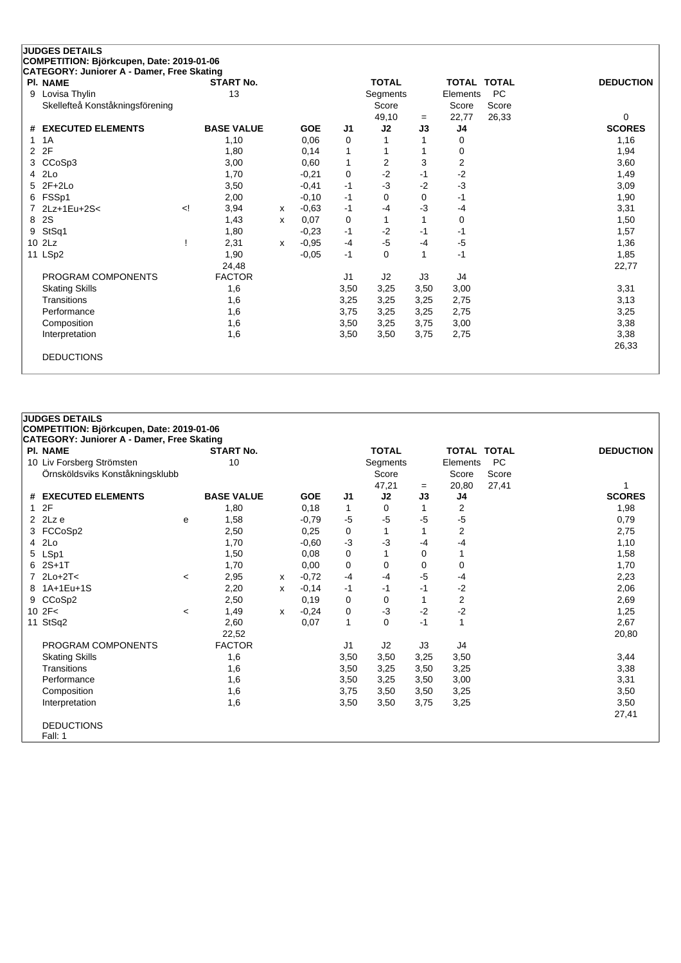|   | <b>JUDGES DETAILS</b>                      |        |                   |   |            |                |              |      |          |                    |                  |
|---|--------------------------------------------|--------|-------------------|---|------------|----------------|--------------|------|----------|--------------------|------------------|
|   | COMPETITION: Björkcupen, Date: 2019-01-06  |        |                   |   |            |                |              |      |          |                    |                  |
|   | CATEGORY: Juniorer A - Damer, Free Skating |        |                   |   |            |                |              |      |          |                    |                  |
|   | <b>PI. NAME</b>                            |        | <b>START No.</b>  |   |            |                | <b>TOTAL</b> |      |          | <b>TOTAL TOTAL</b> | <b>DEDUCTION</b> |
| 9 | Lovisa Thylin                              |        | 13                |   |            |                | Segments     |      | Elements | <b>PC</b>          |                  |
|   | Skellefteå Konståkningsförening            |        |                   |   |            |                | Score        |      | Score    | Score              |                  |
|   |                                            |        |                   |   |            |                | 49,10        | $=$  | 22,77    | 26,33              | 0                |
| # | <b>EXECUTED ELEMENTS</b>                   |        | <b>BASE VALUE</b> |   | <b>GOE</b> | J <sub>1</sub> | J2           | J3   | J4       |                    | <b>SCORES</b>    |
|   | 1A                                         |        | 1,10              |   | 0,06       | 0              |              |      | 0        |                    | 1,16             |
| 2 | 2F                                         |        | 1,80              |   | 0,14       | 1              |              |      | 0        |                    | 1,94             |
| 3 | CCoSp3                                     |        | 3,00              |   | 0,60       | $\mathbf{1}$   | 2            | 3    | 2        |                    | 3,60             |
| 4 | 2Lo                                        |        | 1,70              |   | $-0,21$    | $\mathbf 0$    | $-2$         | $-1$ | $-2$     |                    | 1,49             |
| 5 | $2F+2Lo$                                   |        | 3,50              |   | $-0,41$    | $-1$           | $-3$         | $-2$ | $-3$     |                    | 3,09             |
| 6 | FSSp1                                      |        | 2,00              |   | $-0,10$    | $-1$           | $\Omega$     | 0    | $-1$     |                    | 1,90             |
|   | 2Lz+1Eu+2S<                                | $\leq$ | 3,94              | x | $-0,63$    | $-1$           | $-4$         | -3   | $-4$     |                    | 3,31             |
| 8 | 2S                                         |        | 1,43              | x | 0,07       | 0              |              |      | 0        |                    | 1,50             |
| 9 | StSq1                                      |        | 1,80              |   | $-0,23$    | $-1$           | $-2$         | $-1$ | $-1$     |                    | 1,57             |
|   | 10 2Lz                                     |        | 2,31              | X | $-0,95$    | $-4$           | $-5$         | -4   | $-5$     |                    | 1,36             |
|   | 11 LSp2                                    |        | 1,90              |   | $-0,05$    | $-1$           | $\Omega$     | 1    | $-1$     |                    | 1,85             |
|   |                                            |        | 24,48             |   |            |                |              |      |          |                    | 22,77            |
|   | PROGRAM COMPONENTS                         |        | <b>FACTOR</b>     |   |            | J <sub>1</sub> | J2           | J3   | J4       |                    |                  |
|   | <b>Skating Skills</b>                      |        | 1,6               |   |            | 3,50           | 3,25         | 3,50 | 3,00     |                    | 3,31             |
|   | Transitions                                |        | 1,6               |   |            | 3,25           | 3,25         | 3,25 | 2,75     |                    | 3,13             |
|   | Performance                                |        | 1,6               |   |            | 3,75           | 3,25         | 3,25 | 2,75     |                    | 3,25             |
|   | Composition                                |        | 1,6               |   |            | 3,50           | 3,25         | 3,75 | 3,00     |                    | 3,38             |
|   | Interpretation                             |        | 1,6               |   |            | 3,50           | 3,50         | 3,75 | 2,75     |                    | 3,38             |
|   |                                            |        |                   |   |            |                |              |      |          |                    | 26,33            |
|   | <b>DEDUCTIONS</b>                          |        |                   |   |            |                |              |      |          |                    |                  |
|   |                                            |        |                   |   |            |                |              |      |          |                    |                  |

| <b>CATEGORY: Juniorer A - Damer, Free Skating</b> |         |                   |   |            |                |              |      |                |              |                  |
|---------------------------------------------------|---------|-------------------|---|------------|----------------|--------------|------|----------------|--------------|------------------|
| PI. NAME                                          |         | <b>START No.</b>  |   |            |                | <b>TOTAL</b> |      | TOTAL          | <b>TOTAL</b> | <b>DEDUCTION</b> |
| 10 Liv Forsberg Strömsten                         |         | 10                |   |            |                | Segments     |      | Elements       | <b>PC</b>    |                  |
| Örnsköldsviks Konståkningsklubb                   |         |                   |   |            |                | Score        |      | Score          | Score        |                  |
|                                                   |         |                   |   |            |                | 47,21        | $=$  | 20,80          | 27,41        |                  |
| # EXECUTED ELEMENTS                               |         | <b>BASE VALUE</b> |   | <b>GOE</b> | J <sub>1</sub> | J2           | J3   | J4             |              | <b>SCORES</b>    |
| 12F                                               |         | 1,80              |   | 0,18       | 1              | 0            |      | 2              |              | 1,98             |
| 2 $2Lz$ e                                         | е       | 1,58              |   | $-0,79$    | $-5$           | $-5$         | -5   | -5             |              | 0,79             |
| 3 FCCoSp2                                         |         | 2,50              |   | 0,25       | 0              |              |      | 2              |              | 2,75             |
| 4 2Lo                                             |         | 1,70              |   | $-0,60$    | $-3$           | $-3$         | -4   | -4             |              | 1,10             |
| 5 LSp1                                            |         | 1,50              |   | 0,08       | 0              |              | 0    |                |              | 1,58             |
| $62S+1T$                                          |         | 1,70              |   | 0,00       | 0              | 0            | 0    | 0              |              | 1,70             |
| $7$ 2Lo+2T<                                       | $\,<\,$ | 2,95              | х | $-0,72$    | $-4$           | $-4$         | -5   | -4             |              | 2,23             |
| 8 1A+1Eu+1S                                       |         | 2,20              | х | $-0,14$    | -1             | -1           | -1   | $-2$           |              | 2,06             |
| 9 CCoSp2                                          |         | 2,50              |   | 0, 19      | 0              | 0            |      | $\overline{c}$ |              | 2,69             |
| $10$ $2F<$                                        | $\,<\,$ | 1,49              | х | $-0,24$    | 0              | $-3$         | $-2$ | $-2$           |              | 1,25             |
| 11 StSq2                                          |         | 2,60              |   | 0,07       | 1              | 0            | $-1$ | 1              |              | 2,67             |
|                                                   |         | 22,52             |   |            |                |              |      |                |              | 20,80            |
| PROGRAM COMPONENTS                                |         | <b>FACTOR</b>     |   |            | J <sub>1</sub> | J2           | J3   | J4             |              |                  |
| <b>Skating Skills</b>                             |         | 1,6               |   |            | 3,50           | 3,50         | 3,25 | 3,50           |              | 3,44             |
| Transitions                                       |         | 1,6               |   |            | 3,50           | 3,25         | 3,50 | 3,25           |              | 3,38             |
| Performance                                       |         | 1,6               |   |            | 3,50           | 3,25         | 3,50 | 3,00           |              | 3,31             |
| Composition                                       |         | 1,6               |   |            | 3,75           | 3,50         | 3,50 | 3,25           |              | 3,50             |
| Interpretation                                    |         | 1,6               |   |            | 3,50           | 3,50         | 3,75 | 3,25           |              | 3,50             |
|                                                   |         |                   |   |            |                |              |      |                |              | 27,41            |
| <b>DEDUCTIONS</b>                                 |         |                   |   |            |                |              |      |                |              |                  |
| Fall: 1                                           |         |                   |   |            |                |              |      |                |              |                  |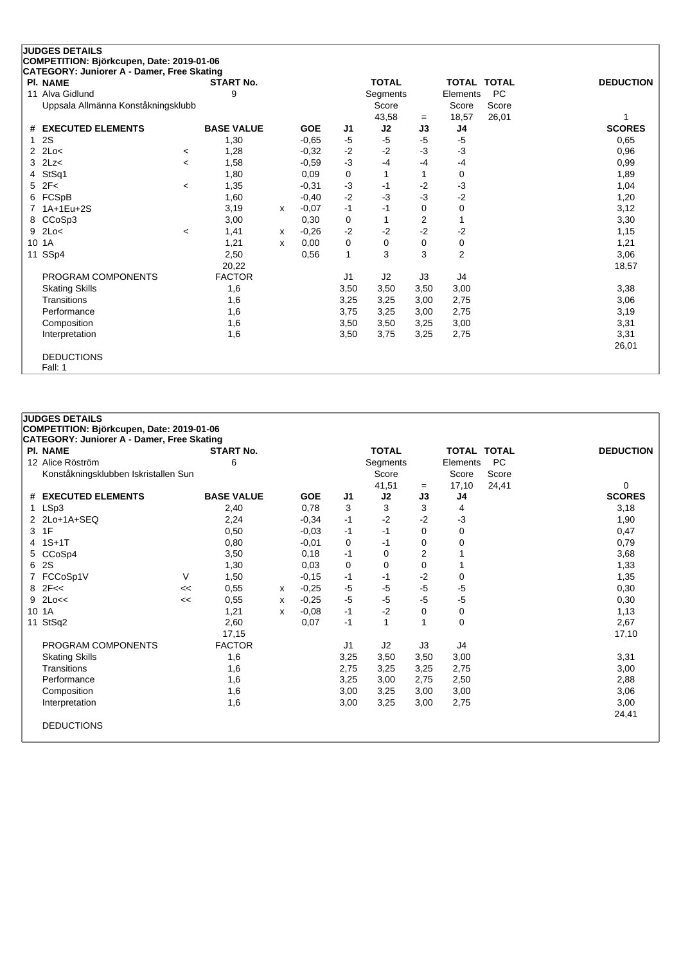|    | <b>JUDGES DETAILS</b>                                         |                          |                   |   |            |                |                |      |                    |           |                  |
|----|---------------------------------------------------------------|--------------------------|-------------------|---|------------|----------------|----------------|------|--------------------|-----------|------------------|
|    | COMPETITION: Björkcupen, Date: 2019-01-06                     |                          |                   |   |            |                |                |      |                    |           |                  |
|    | CATEGORY: Juniorer A - Damer, Free Skating<br><b>PI. NAME</b> |                          | <b>START No.</b>  |   |            |                | <b>TOTAL</b>   |      | <b>TOTAL TOTAL</b> |           | <b>DEDUCTION</b> |
| 11 | Alva Gidlund                                                  |                          | 9                 |   |            |                | Segments       |      | Elements           | <b>PC</b> |                  |
|    | Uppsala Allmänna Konståkningsklubb                            |                          |                   |   |            |                | Score          |      | Score              | Score     |                  |
|    |                                                               |                          |                   |   |            |                | 43,58          | $=$  | 18,57              | 26,01     |                  |
| #  | <b>EXECUTED ELEMENTS</b>                                      |                          | <b>BASE VALUE</b> |   | <b>GOE</b> | J1             | J2             | J3   | J4                 |           | <b>SCORES</b>    |
|    | 2S                                                            |                          | 1,30              |   | $-0,65$    | -5             | $-5$           | $-5$ | $-5$               |           | 0,65             |
| 2  | 2Lo<                                                          | $\,<\,$                  | 1,28              |   | $-0,32$    | $-2$           | $-2$           | $-3$ | $-3$               |           | 0,96             |
| 3  | 2Lz<                                                          | $\overline{\phantom{a}}$ | 1,58              |   | $-0.59$    | $-3$           | $-4$           | $-4$ | $-4$               |           | 0,99             |
| 4  | StSq1                                                         |                          | 1,80              |   | 0,09       | 0              |                | 1    | 0                  |           | 1,89             |
| 5  | 2F<                                                           | $\,<\,$                  | 1,35              |   | $-0.31$    | $-3$           | $-1$           | $-2$ | $-3$               |           | 1,04             |
| 6  | FCSpB                                                         |                          | 1,60              |   | $-0,40$    | $-2$           | $-3$           | $-3$ | $-2$               |           | 1,20             |
|    | 1A+1Eu+2S                                                     |                          | 3,19              | x | $-0.07$    | $-1$           | -1             | 0    | 0                  |           | 3,12             |
| 8  | CCoSp3                                                        |                          | 3,00              |   | 0,30       | 0              |                | 2    | 1                  |           | 3,30             |
| 9  | 2Lo<                                                          | $\,<\,$                  | 1,41              | x | $-0.26$    | $-2$           | $-2$           | $-2$ | $-2$               |           | 1,15             |
| 10 | 1A                                                            |                          | 1,21              | x | 0,00       | 0              | 0              | 0    | 0                  |           | 1,21             |
| 11 | SSp4                                                          |                          | 2,50              |   | 0,56       | $\mathbf{1}$   | 3              | 3    | $\overline{2}$     |           | 3,06             |
|    |                                                               |                          | 20,22             |   |            |                |                |      |                    |           | 18,57            |
|    | PROGRAM COMPONENTS                                            |                          | <b>FACTOR</b>     |   |            | J <sub>1</sub> | J <sub>2</sub> | J3   | J4                 |           |                  |
|    | <b>Skating Skills</b>                                         |                          | 1,6               |   |            | 3,50           | 3,50           | 3,50 | 3,00               |           | 3,38             |
|    | Transitions                                                   |                          | 1,6               |   |            | 3,25           | 3,25           | 3,00 | 2,75               |           | 3,06             |
|    | Performance                                                   |                          | 1,6               |   |            | 3,75           | 3,25           | 3,00 | 2,75               |           | 3,19             |
|    | Composition                                                   |                          | 1,6               |   |            | 3,50           | 3,50           | 3,25 | 3,00               |           | 3,31             |
|    | Interpretation                                                |                          | 1,6               |   |            | 3,50           | 3,75           | 3,25 | 2,75               |           | 3,31             |
|    |                                                               |                          |                   |   |            |                |                |      |                    |           | 26,01            |
|    | <b>DEDUCTIONS</b><br>Fall: 1                                  |                          |                   |   |            |                |                |      |                    |           |                  |

| <b>JUDGES DETAILS</b>                                                                   |    |                   |   |            |                |              |             |                    |       |                  |
|-----------------------------------------------------------------------------------------|----|-------------------|---|------------|----------------|--------------|-------------|--------------------|-------|------------------|
| COMPETITION: Björkcupen, Date: 2019-01-06<br>CATEGORY: Juniorer A - Damer, Free Skating |    |                   |   |            |                |              |             |                    |       |                  |
| <b>PI. NAME</b>                                                                         |    | <b>START No.</b>  |   |            |                | <b>TOTAL</b> |             | <b>TOTAL TOTAL</b> |       | <b>DEDUCTION</b> |
| 12 Alice Röström                                                                        |    | 6                 |   |            |                | Segments     |             | Elements           | PC    |                  |
| Konståkningsklubben Iskristallen Sun                                                    |    |                   |   |            |                | Score        |             | Score              | Score |                  |
|                                                                                         |    |                   |   |            |                | 41,51        | $=$         | 17,10              | 24,41 | 0                |
| # EXECUTED ELEMENTS                                                                     |    | <b>BASE VALUE</b> |   | <b>GOE</b> | J <sub>1</sub> | J2           | J3          | J4                 |       | <b>SCORES</b>    |
| LSp3                                                                                    |    | 2,40              |   | 0,78       | 3              | 3            | 3           | 4                  |       | 3,18             |
| 2Lo+1A+SEQ                                                                              |    | 2,24              |   | $-0,34$    | $-1$           | $-2$         | $-2$        | -3                 |       | 1,90             |
| 1F<br>3                                                                                 |    | 0,50              |   | $-0,03$    | $-1$           | $-1$         | $\Omega$    | 0                  |       | 0,47             |
| $1S+1T$<br>4                                                                            |    | 0,80              |   | $-0,01$    | 0              | $-1$         | $\mathbf 0$ | 0                  |       | 0,79             |
| CCoSp4<br>5                                                                             |    | 3,50              |   | 0,18       | $-1$           | 0            | 2           |                    |       | 3,68             |
| 2S<br>6                                                                                 |    | 1,30              |   | 0,03       | 0              | 0            | $\mathbf 0$ |                    |       | 1,33             |
| FCCoSp1V                                                                                | V  | 1,50              |   | $-0,15$    | -1             | $-1$         | $-2$        | 0                  |       | 1,35             |
| 2F <<br>8                                                                               | << | 0,55              | x | $-0,25$    | $-5$           | -5           | $-5$        | -5                 |       | 0,30             |
| 2Lo<<<br>9                                                                              | << | 0,55              | x | $-0,25$    | $-5$           | -5           | $-5$        | -5                 |       | 0,30             |
| 10 <sup>°</sup><br>1A                                                                   |    | 1,21              | x | $-0,08$    | $-1$           | $-2$         | 0           | 0                  |       | 1,13             |
| 11 StSq2                                                                                |    | 2,60              |   | 0,07       | $-1$           | $\mathbf{1}$ | 1           | 0                  |       | 2,67             |
|                                                                                         |    | 17,15             |   |            |                |              |             |                    |       | 17,10            |
| PROGRAM COMPONENTS                                                                      |    | <b>FACTOR</b>     |   |            | J1             | J2           | J3          | J4                 |       |                  |
| <b>Skating Skills</b>                                                                   |    | 1,6               |   |            | 3,25           | 3,50         | 3,50        | 3,00               |       | 3,31             |
| Transitions                                                                             |    | 1,6               |   |            | 2,75           | 3,25         | 3,25        | 2,75               |       | 3,00             |
| Performance                                                                             |    | 1,6               |   |            | 3,25           | 3,00         | 2,75        | 2,50               |       | 2,88             |
| Composition                                                                             |    | 1,6               |   |            | 3,00           | 3,25         | 3,00        | 3,00               |       | 3,06             |
| Interpretation                                                                          |    | 1,6               |   |            | 3,00           | 3,25         | 3,00        | 2,75               |       | 3,00             |
|                                                                                         |    |                   |   |            |                |              |             |                    |       | 24,41            |

DEDUCTIONS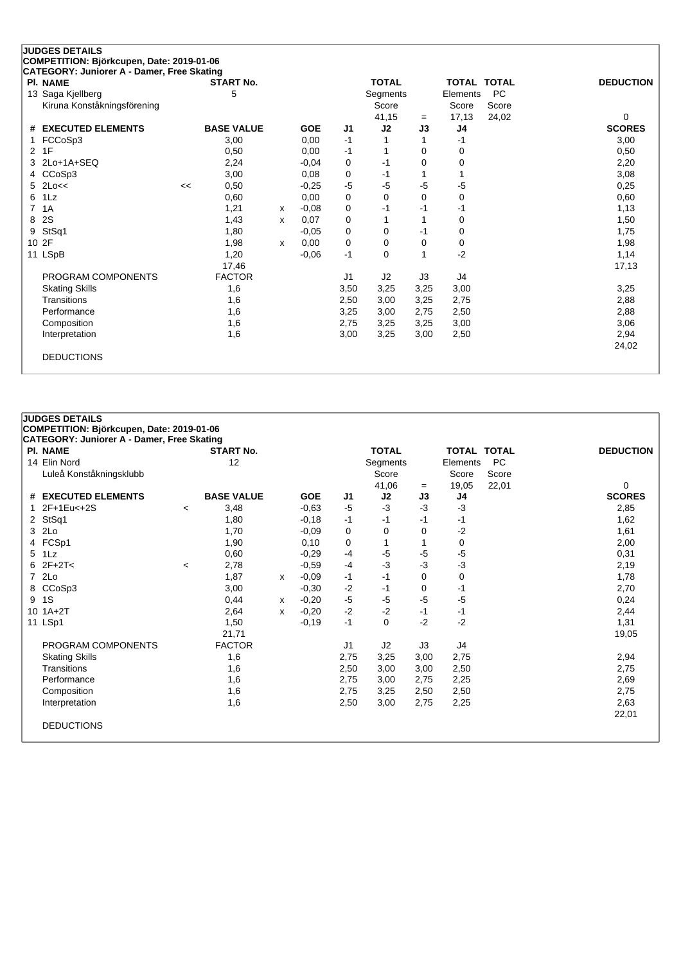| <b>PI. NAME</b>             |    | <b>START No.</b>  |   |            |                | <b>TOTAL</b> |          | <b>TOTAL TOTAL</b> |           | <b>DEDUCTION</b> |
|-----------------------------|----|-------------------|---|------------|----------------|--------------|----------|--------------------|-----------|------------------|
| 13 Saga Kjellberg           |    | 5                 |   |            |                | Segments     |          | Elements           | <b>PC</b> |                  |
| Kiruna Konståkningsförening |    |                   |   |            |                | Score        |          | Score              | Score     |                  |
|                             |    |                   |   |            |                | 41,15        | $=$      | 17,13              | 24,02     | 0                |
| # EXECUTED ELEMENTS         |    | <b>BASE VALUE</b> |   | <b>GOE</b> | J <sub>1</sub> | J2           | J3       | J <sub>4</sub>     |           | <b>SCORES</b>    |
| FCCoSp3                     |    | 3,00              |   | 0,00       | $-1$           |              |          | -1                 |           | 3,00             |
| 1F<br>2                     |    | 0,50              |   | 0,00       | -1             |              | 0        | 0                  |           | 0,50             |
| 2Lo+1A+SEQ<br>3             |    | 2,24              |   | $-0.04$    | 0              | $-1$         | 0        | 0                  |           | 2,20             |
| CCoSp3<br>4                 |    | 3,00              |   | 0,08       | 0              | $-1$         |          |                    |           | 3,08             |
| 2Lo<<<br>5.                 | << | 0,50              |   | $-0.25$    | $-5$           | $-5$         | $-5$     | $-5$               |           | 0,25             |
| 1Lz<br>6                    |    | 0,60              |   | 0,00       | 0              | $\Omega$     | $\Omega$ | 0                  |           | 0,60             |
| 7<br>1A                     |    | 1,21              | X | $-0,08$    | 0              | -1           | -1       | -1                 |           | 1,13             |
| 2S<br>8                     |    | 1,43              | x | 0,07       | 0              |              |          | 0                  |           | 1,50             |
| StSq1<br>9                  |    | 1,80              |   | $-0.05$    | 0              | 0            | $-1$     | 0                  |           | 1,75             |
| 10 2F                       |    | 1,98              | x | 0.00       | 0              | 0            | $\Omega$ | 0                  |           | 1,98             |
| 11 LSpB                     |    | 1,20              |   | $-0,06$    | $-1$           | $\Omega$     |          | $-2$               |           | 1,14             |
|                             |    | 17,46             |   |            |                |              |          |                    |           | 17,13            |
| PROGRAM COMPONENTS          |    | <b>FACTOR</b>     |   |            | J <sub>1</sub> | J2           | J3       | J4                 |           |                  |
| <b>Skating Skills</b>       |    | 1,6               |   |            | 3,50           | 3,25         | 3,25     | 3,00               |           | 3,25             |
| Transitions                 |    | 1,6               |   |            | 2,50           | 3,00         | 3,25     | 2,75               |           | 2,88             |
| Performance                 |    | 1,6               |   |            | 3,25           | 3,00         | 2,75     | 2,50               |           | 2,88             |
| Composition                 |    | 1,6               |   |            | 2,75           | 3,25         | 3,25     | 3,00               |           | 3,06             |
| Interpretation              |    | 1,6               |   |            | 3,00           | 3,25         | 3,00     | 2,50               |           | 2,94             |
|                             |    |                   |   |            |                |              |          |                    |           | 24,02            |

| <b>JUDGES DETAILS</b>                             |                          |                   |   |            |                |              |          |                    |           |                  |
|---------------------------------------------------|--------------------------|-------------------|---|------------|----------------|--------------|----------|--------------------|-----------|------------------|
| COMPETITION: Björkcupen, Date: 2019-01-06         |                          |                   |   |            |                |              |          |                    |           |                  |
| <b>CATEGORY: Juniorer A - Damer, Free Skating</b> |                          |                   |   |            |                |              |          |                    |           |                  |
| <b>PI. NAME</b>                                   |                          | <b>START No.</b>  |   |            |                | <b>TOTAL</b> |          | <b>TOTAL TOTAL</b> |           | <b>DEDUCTION</b> |
| 14 Elin Nord                                      |                          | 12                |   |            |                | Segments     |          | Elements           | <b>PC</b> |                  |
| Luleå Konståkningsklubb                           |                          |                   |   |            |                | Score        |          | Score              | Score     |                  |
|                                                   |                          |                   |   |            |                | 41,06        | $=$      | 19,05              | 22,01     | 0                |
| # EXECUTED ELEMENTS                               |                          | <b>BASE VALUE</b> |   | <b>GOE</b> | J <sub>1</sub> | J2           | J3       | J4                 |           | <b>SCORES</b>    |
| 1 2F+1Eu<+2S                                      | $\overline{\phantom{a}}$ | 3,48              |   | $-0,63$    | $-5$           | $-3$         | -3       | $-3$               |           | 2,85             |
| 2 StSq1                                           |                          | 1,80              |   | $-0,18$    | $-1$           | -1           | -1       | -1                 |           | 1,62             |
| 3 2Lo                                             |                          | 1,70              |   | $-0.09$    | 0              | 0            | 0        | -2                 |           | 1,61             |
| 4 FCSp1                                           |                          | 1,90              |   | 0,10       | 0              | 1            | 1        | 0                  |           | 2,00             |
| 5 1Lz                                             |                          | 0,60              |   | $-0.29$    | $-4$           | $-5$         | $-5$     | $-5$               |           | 0,31             |
| $62F+2T<$                                         | $\prec$                  | 2,78              |   | $-0,59$    | $-4$           | $-3$         | $-3$     | -3                 |           | 2,19             |
| 7 2Lo                                             |                          | 1,87              | x | $-0,09$    | $-1$           | -1           | $\Omega$ | 0                  |           | 1,78             |
| 8 CCoSp3                                          |                          | 3,00              |   | $-0,30$    | $-2$           | -1           | 0        | -1                 |           | 2,70             |
| 9 1S                                              |                          | 0,44              | х | $-0,20$    | $-5$           | $-5$         | $-5$     | -5                 |           | 0,24             |
| $10.1A + 2T$                                      |                          | 2,64              | x | $-0,20$    | $-2$           | $-2$         | $-1$     | -1                 |           | 2,44             |
| 11 LSp1                                           |                          | 1,50              |   | $-0,19$    | $-1$           | $\Omega$     | $-2$     | $-2$               |           | 1,31             |
|                                                   |                          | 21,71             |   |            |                |              |          |                    |           | 19,05            |
| PROGRAM COMPONENTS                                |                          | <b>FACTOR</b>     |   |            | J1             | J2           | J3       | J4                 |           |                  |
| <b>Skating Skills</b>                             |                          | 1,6               |   |            | 2,75           | 3,25         | 3,00     | 2,75               |           | 2,94             |
| Transitions                                       |                          | 1,6               |   |            | 2,50           | 3,00         | 3,00     | 2,50               |           | 2,75             |
| Performance                                       |                          | 1,6               |   |            | 2,75           | 3,00         | 2,75     | 2,25               |           | 2,69             |
| Composition                                       |                          | 1,6               |   |            | 2,75           | 3,25         | 2,50     | 2,50               |           | 2,75             |
| Interpretation                                    |                          | 1,6               |   |            | 2,50           | 3,00         | 2,75     | 2,25               |           | 2,63             |
|                                                   |                          |                   |   |            |                |              |          |                    |           | 22,01            |
| <b>DEDUCTIONS</b>                                 |                          |                   |   |            |                |              |          |                    |           |                  |
|                                                   |                          |                   |   |            |                |              |          |                    |           |                  |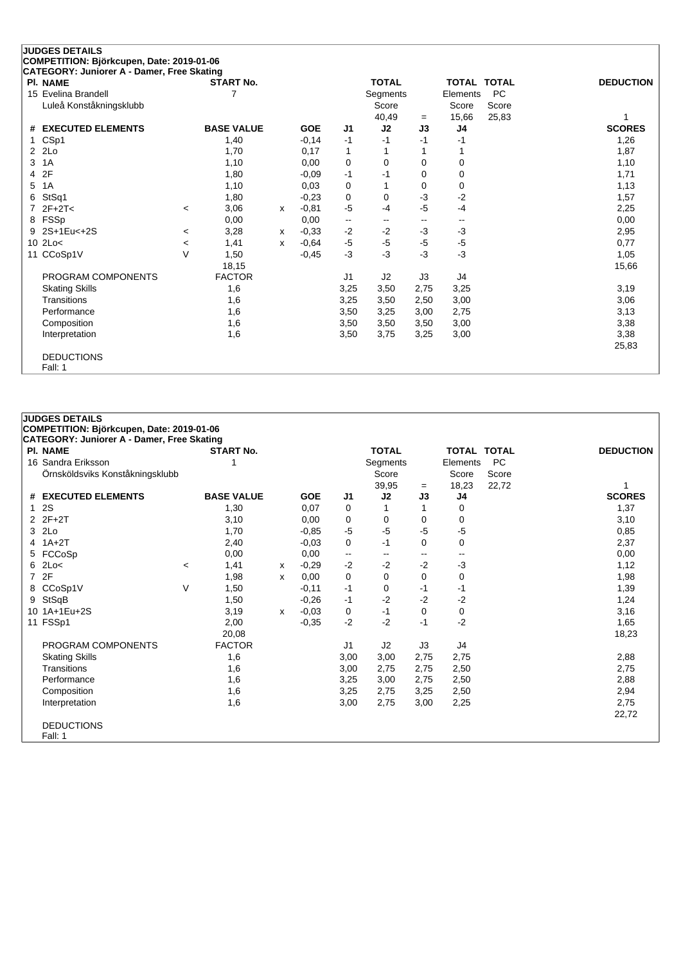| <b>JUDGES DETAILS</b>                      |                          |                   |              |            |                |              |                          |                    |           |                  |
|--------------------------------------------|--------------------------|-------------------|--------------|------------|----------------|--------------|--------------------------|--------------------|-----------|------------------|
| COMPETITION: Björkcupen, Date: 2019-01-06  |                          |                   |              |            |                |              |                          |                    |           |                  |
| CATEGORY: Juniorer A - Damer, Free Skating |                          |                   |              |            |                |              |                          |                    |           |                  |
| <b>PI. NAME</b>                            |                          | <b>START No.</b>  |              |            |                | <b>TOTAL</b> |                          | <b>TOTAL TOTAL</b> |           | <b>DEDUCTION</b> |
| 15 Evelina Brandell                        |                          | 7                 |              |            |                | Segments     |                          | Elements           | <b>PC</b> |                  |
| Luleå Konståkningsklubb                    |                          |                   |              |            |                | Score        |                          | Score              | Score     |                  |
|                                            |                          |                   |              |            |                | 40,49        | $=$                      | 15,66              | 25,83     | 1                |
| <b>EXECUTED ELEMENTS</b><br>#              |                          | <b>BASE VALUE</b> |              | <b>GOE</b> | J <sub>1</sub> | J2           | J3                       | J4                 |           | <b>SCORES</b>    |
| CSp1<br>$\mathbf{1}$                       |                          | 1,40              |              | $-0,14$    | $-1$           | $-1$         | $-1$                     | $-1$               |           | 1,26             |
| 2Lo<br>2                                   |                          | 1,70              |              | 0,17       | 1              |              |                          |                    |           | 1,87             |
| 3<br>1A                                    |                          | 1,10              |              | 0,00       | $\mathbf 0$    | $\Omega$     | 0                        | 0                  |           | 1,10             |
| 2F<br>4                                    |                          | 1,80              |              | $-0.09$    | $-1$           | -1           | 0                        | 0                  |           | 1,71             |
| 1A<br>5                                    |                          | 1,10              |              | 0.03       | 0              |              | $\Omega$                 | 0                  |           | 1,13             |
| StSq1<br>6                                 |                          | 1,80              |              | $-0.23$    | 0              | 0            | -3                       | $-2$               |           | 1,57             |
| $2F+2T<$                                   | $\,<\,$                  | 3,06              | $\mathsf{x}$ | $-0,81$    | $-5$           | $-4$         | $-5$                     | $-4$               |           | 2,25             |
| FSSp<br>8                                  |                          | 0,00              |              | 0,00       | --             | --           | $\overline{\phantom{a}}$ | --                 |           | 0,00             |
| 2S+1Eu<+2S<br>9                            | $\prec$                  | 3,28              | x            | $-0,33$    | $-2$           | $-2$         | $-3$                     | $-3$               |           | 2,95             |
| 2Lo<<br>10                                 | $\overline{\phantom{a}}$ | 1,41              | $\mathsf{x}$ | $-0.64$    | $-5$           | $-5$         | $-5$                     | $-5$               |           | 0,77             |
| CCoSp1V<br>11                              | $\vee$                   | 1,50              |              | $-0,45$    | $-3$           | $-3$         | $-3$                     | $-3$               |           | 1,05             |
|                                            |                          | 18,15             |              |            |                |              |                          |                    |           | 15,66            |
| PROGRAM COMPONENTS                         |                          | <b>FACTOR</b>     |              |            | J <sub>1</sub> | J2           | J3                       | J4                 |           |                  |
| <b>Skating Skills</b>                      |                          | 1,6               |              |            | 3,25           | 3,50         | 2,75                     | 3,25               |           | 3,19             |
| Transitions                                |                          | 1,6               |              |            | 3,25           | 3,50         | 2,50                     | 3,00               |           | 3,06             |
| Performance                                |                          | 1,6               |              |            | 3,50           | 3,25         | 3,00                     | 2,75               |           | 3,13             |
| Composition                                |                          | 1,6               |              |            | 3,50           | 3,50         | 3,50                     | 3,00               |           | 3,38             |
| Interpretation                             |                          | 1,6               |              |            | 3,50           | 3,75         | 3,25                     | 3,00               |           | 3,38             |
|                                            |                          |                   |              |            |                |              |                          |                    |           | 25,83            |
| <b>DEDUCTIONS</b>                          |                          |                   |              |            |                |              |                          |                    |           |                  |
| Fall: 1                                    |                          |                   |              |            |                |              |                          |                    |           |                  |

| CATEGORY: Juniorer A - Damer, Free Skating |         |                   |   |            |                          |                |      |                    |           |                  |
|--------------------------------------------|---------|-------------------|---|------------|--------------------------|----------------|------|--------------------|-----------|------------------|
| PI. NAME                                   |         | <b>START No.</b>  |   |            |                          | <b>TOTAL</b>   |      | <b>TOTAL TOTAL</b> |           | <b>DEDUCTION</b> |
| 16 Sandra Eriksson                         |         |                   |   |            |                          | Segments       |      | Elements           | <b>PC</b> |                  |
| Örnsköldsviks Konståkningsklubb            |         |                   |   |            |                          | Score          |      | Score              | Score     |                  |
|                                            |         |                   |   |            |                          | 39,95          | $=$  | 18,23              | 22,72     |                  |
| # EXECUTED ELEMENTS                        |         | <b>BASE VALUE</b> |   | <b>GOE</b> | J1                       | J2             | J3   | J4                 |           | <b>SCORES</b>    |
| 12S                                        |         | 1,30              |   | 0,07       | 0                        |                |      | 0                  |           | 1,37             |
| $2Z + 2T$                                  |         | 3,10              |   | 0,00       | 0                        | 0              | 0    | 0                  |           | 3,10             |
| 3 2Lo                                      |         | 1,70              |   | $-0,85$    | $-5$                     | $-5$           | -5   | $-5$               |           | 0,85             |
| $4$ 1A+2T                                  |         | 2,40              |   | $-0.03$    | 0                        | $-1$           | 0    | 0                  |           | 2,37             |
| 5 FCCoSp                                   |         | 0,00              |   | 0,00       | $\overline{\phantom{a}}$ |                |      |                    |           | 0,00             |
| $6$ 2Lo<                                   | $\,<\,$ | 1,41              | х | $-0,29$    | $-2$                     | $-2$           | $-2$ | $-3$               |           | 1,12             |
| 7 2F                                       |         | 1,98              | x | 0,00       | 0                        | 0              | 0    | 0                  |           | 1,98             |
| 8 CCoSp1V                                  | V       | 1,50              |   | $-0,11$    | -1                       | 0              | -1   | -1                 |           | 1,39             |
| 9 StSqB                                    |         | 1,50              |   | $-0,26$    | -1                       | $-2$           | $-2$ | $-2$               |           | 1,24             |
| 10 1A+1Eu+2S                               |         | 3,19              | x | $-0,03$    | 0                        | -1             | 0    | 0                  |           | 3,16             |
| 11 FSSp1                                   |         | 2,00              |   | $-0,35$    | $-2$                     | $-2$           | $-1$ | $-2$               |           | 1,65             |
|                                            |         | 20,08             |   |            |                          |                |      |                    |           | 18,23            |
| PROGRAM COMPONENTS                         |         | <b>FACTOR</b>     |   |            | J <sub>1</sub>           | J <sub>2</sub> | J3   | J4                 |           |                  |
| <b>Skating Skills</b>                      |         | 1,6               |   |            | 3,00                     | 3,00           | 2,75 | 2,75               |           | 2,88             |
| Transitions                                |         | 1,6               |   |            | 3,00                     | 2,75           | 2,75 | 2,50               |           | 2,75             |
| Performance                                |         | 1,6               |   |            | 3,25                     | 3,00           | 2,75 | 2,50               |           | 2,88             |
| Composition                                |         | 1,6               |   |            | 3,25                     | 2,75           | 3,25 | 2,50               |           | 2,94             |
| Interpretation                             |         | 1,6               |   |            | 3,00                     | 2,75           | 3,00 | 2,25               |           | 2,75             |
|                                            |         |                   |   |            |                          |                |      |                    |           | 22,72            |
| <b>DEDUCTIONS</b>                          |         |                   |   |            |                          |                |      |                    |           |                  |
| Fall: 1                                    |         |                   |   |            |                          |                |      |                    |           |                  |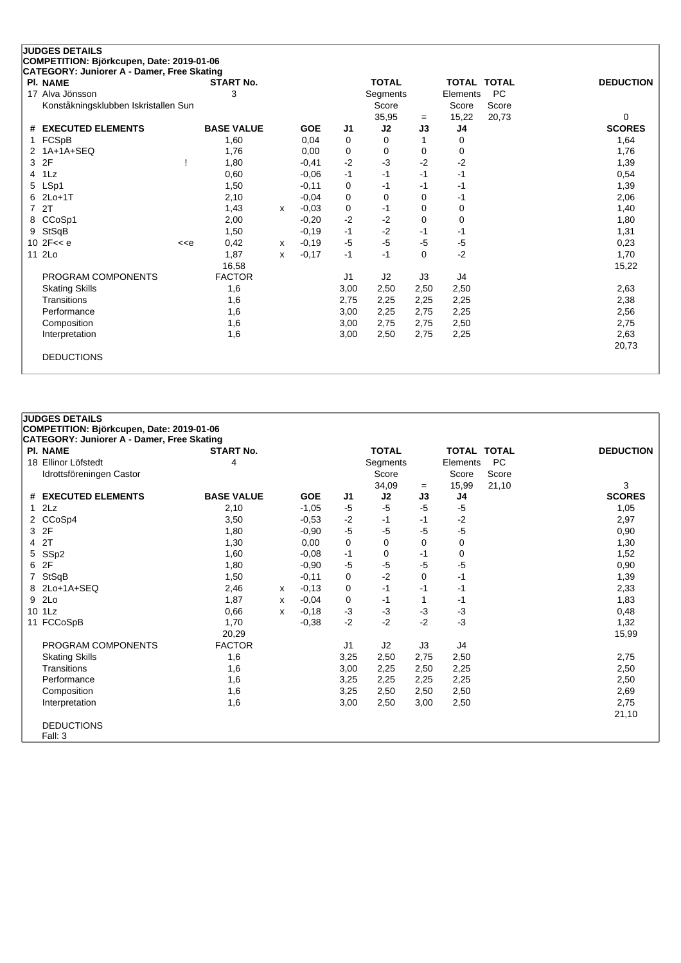| <b>JUDGES DETAILS</b>                      |                                                                                                                                                                                           |                   |              |            |                |              |          |                |           |                  |
|--------------------------------------------|-------------------------------------------------------------------------------------------------------------------------------------------------------------------------------------------|-------------------|--------------|------------|----------------|--------------|----------|----------------|-----------|------------------|
| COMPETITION: Björkcupen, Date: 2019-01-06  |                                                                                                                                                                                           |                   |              |            |                |              |          |                |           |                  |
| CATEGORY: Juniorer A - Damer, Free Skating |                                                                                                                                                                                           |                   |              |            |                |              |          |                |           |                  |
| <b>PI. NAME</b>                            |                                                                                                                                                                                           | <b>START No.</b>  |              |            |                | <b>TOTAL</b> |          | TOTAL TOTAL    |           | <b>DEDUCTION</b> |
| 17 Alva Jönsson                            |                                                                                                                                                                                           | 3                 |              |            |                | Segments     |          | Elements       | <b>PC</b> |                  |
| Konståkningsklubben Iskristallen Sun       |                                                                                                                                                                                           |                   |              |            |                | Score        |          | Score          | Score     |                  |
|                                            |                                                                                                                                                                                           |                   |              |            |                | 35,95        | $=$      | 15,22          | 20,73     | 0                |
| <b>EXECUTED ELEMENTS</b><br>#              |                                                                                                                                                                                           | <b>BASE VALUE</b> |              | <b>GOE</b> | J <sub>1</sub> | J2           | J3       | J <sub>4</sub> |           | <b>SCORES</b>    |
| FCSpB                                      |                                                                                                                                                                                           | 1,60              |              | 0,04       | 0              | 0            |          | 0              |           | 1,64             |
| 1A+1A+SEQ<br>2                             |                                                                                                                                                                                           | 1,76              |              | 0,00       | 0              | $\Omega$     | $\Omega$ | 0              |           | 1,76             |
| 2F<br>3                                    |                                                                                                                                                                                           | 1,80              |              | $-0,41$    | $-2$           | $-3$         | $-2$     | $-2$           |           | 1,39             |
| 1Lz<br>4                                   |                                                                                                                                                                                           | 0,60              |              | $-0,06$    | $-1$           | $-1$         | $-1$     | $-1$           |           | 0,54             |
| LSp1<br>5                                  |                                                                                                                                                                                           | 1,50              |              | $-0,11$    | 0              | $-1$         | $-1$     | $-1$           |           | 1,39             |
| $2Lo+1T$<br>6                              |                                                                                                                                                                                           | 2,10              |              | $-0.04$    | 0              | 0            | 0        | -1             |           | 2,06             |
| 2T<br>7                                    |                                                                                                                                                                                           | 1,43              | $\mathsf{x}$ | $-0,03$    | 0              | $-1$         | $\Omega$ | 0              |           | 1,40             |
| CCoSp1<br>8                                |                                                                                                                                                                                           | 2,00              |              | $-0,20$    | $-2$           | $-2$         | 0        | 0              |           | 1,80             |
| StSqB<br>9                                 |                                                                                                                                                                                           | 1,50              |              | $-0,19$    | $-1$           | $-2$         | $-1$     | -1             |           | 1,31             |
| 10 $2F << e$                               | < <e< td=""><td>0,42</td><td>x</td><td><math>-0,19</math></td><td><math>-5</math></td><td><math>-5</math></td><td><math>-5</math></td><td><math>-5</math></td><td></td><td>0,23</td></e<> | 0,42              | x            | $-0,19$    | $-5$           | $-5$         | $-5$     | $-5$           |           | 0,23             |
| 11 2Lo                                     |                                                                                                                                                                                           | 1,87              | x            | $-0,17$    | $-1$           | $-1$         | $\Omega$ | $-2$           |           | 1,70             |
|                                            |                                                                                                                                                                                           | 16,58             |              |            |                |              |          |                |           | 15,22            |
| PROGRAM COMPONENTS                         |                                                                                                                                                                                           | <b>FACTOR</b>     |              |            | J <sub>1</sub> | J2           | J3       | J <sub>4</sub> |           |                  |
| <b>Skating Skills</b>                      |                                                                                                                                                                                           | 1,6               |              |            | 3,00           | 2,50         | 2,50     | 2,50           |           | 2,63             |
| Transitions                                |                                                                                                                                                                                           | 1,6               |              |            | 2,75           | 2,25         | 2,25     | 2,25           |           | 2,38             |
| Performance                                |                                                                                                                                                                                           | 1,6               |              |            | 3,00           | 2,25         | 2,75     | 2,25           |           | 2,56             |
| Composition                                |                                                                                                                                                                                           | 1,6               |              |            | 3,00           | 2,75         | 2,75     | 2,50           |           | 2,75             |
| Interpretation                             |                                                                                                                                                                                           | 1,6               |              |            | 3,00           | 2,50         | 2,75     | 2,25           |           | 2,63             |
|                                            |                                                                                                                                                                                           |                   |              |            |                |              |          |                |           | 20,73            |
| <b>DEDUCTIONS</b>                          |                                                                                                                                                                                           |                   |              |            |                |              |          |                |           |                  |
|                                            |                                                                                                                                                                                           |                   |              |            |                |              |          |                |           |                  |

| COMPETITION: Björkcupen, Date: 2019-01-06         |                                                                               |                       |            |      |      |                                            |      |                |                                                                         |
|---------------------------------------------------|-------------------------------------------------------------------------------|-----------------------|------------|------|------|--------------------------------------------|------|----------------|-------------------------------------------------------------------------|
|                                                   |                                                                               |                       |            |      |      |                                            |      |                |                                                                         |
| <b>CATEGORY: Juniorer A - Damer, Free Skating</b> |                                                                               |                       |            |      |      |                                            |      |                | <b>DEDUCTION</b>                                                        |
|                                                   |                                                                               |                       |            |      |      |                                            |      |                |                                                                         |
|                                                   |                                                                               |                       |            |      |      |                                            |      |                |                                                                         |
|                                                   |                                                                               |                       |            |      |      |                                            |      |                | 3                                                                       |
| # EXECUTED ELEMENTS                               | <b>BASE VALUE</b>                                                             |                       | <b>GOE</b> | J1   | J2   | J3                                         | J4   |                | <b>SCORES</b>                                                           |
| 2Lz                                               | 2,10                                                                          |                       | $-1,05$    | -5   | $-5$ | -5                                         | $-5$ |                | 1,05                                                                    |
| 2 CCoSp4                                          | 3,50                                                                          |                       | $-0.53$    | $-2$ | -1   | -1                                         | $-2$ |                | 2,97                                                                    |
| 3 2F                                              | 1,80                                                                          |                       | $-0.90$    | $-5$ | $-5$ | -5                                         | -5   |                | 0,90                                                                    |
| 4 2T                                              | 1,30                                                                          |                       | 0,00       | 0    | 0    | 0                                          | 0    |                | 1,30                                                                    |
| 5 SSp2                                            | 1,60                                                                          |                       | $-0.08$    | $-1$ | 0    | -1                                         | 0    |                | 1,52                                                                    |
| 6 2F                                              | 1,80                                                                          |                       | $-0.90$    | $-5$ | $-5$ | -5                                         | -5   |                | 0,90                                                                    |
| 7 StSqB                                           | 1,50                                                                          |                       | $-0,11$    | 0    | $-2$ | 0                                          | -1   |                | 1,39                                                                    |
| 8 2Lo+1A+SEQ                                      | 2,46                                                                          | x                     | $-0,13$    | 0    | $-1$ | -1                                         | -1   |                | 2,33                                                                    |
| 9 2Lo                                             | 1,87                                                                          | x                     | $-0.04$    | 0    | -1   | 1                                          | $-1$ |                | 1,83                                                                    |
| 10 1Lz                                            | 0.66                                                                          | x                     | $-0,18$    | $-3$ | $-3$ | -3                                         | $-3$ |                | 0,48                                                                    |
| 11 FCCoSpB                                        | 1,70                                                                          |                       | $-0,38$    | $-2$ | $-2$ | $-2$                                       | $-3$ |                | 1,32                                                                    |
|                                                   | 20,29                                                                         |                       |            |      |      |                                            |      |                | 15,99                                                                   |
| PROGRAM COMPONENTS                                | <b>FACTOR</b>                                                                 |                       |            | J1   | J2   | J3                                         | J4   |                |                                                                         |
| <b>Skating Skills</b>                             | 1,6                                                                           |                       |            | 3,25 | 2,50 | 2,75                                       | 2,50 |                | 2,75                                                                    |
| Transitions                                       | 1,6                                                                           |                       |            | 3,00 | 2,25 | 2,50                                       | 2,25 |                | 2,50                                                                    |
| Performance                                       | 1,6                                                                           |                       |            | 3,25 | 2,25 | 2,25                                       | 2,25 |                | 2,50                                                                    |
| Composition                                       | 1,6                                                                           |                       |            | 3,25 | 2,50 | 2,50                                       | 2,50 |                | 2,69                                                                    |
| Interpretation                                    | 1,6                                                                           |                       |            | 3,00 | 2,50 | 3,00                                       | 2,50 |                | 2,75                                                                    |
|                                                   |                                                                               |                       |            |      |      |                                            |      |                | 21,10                                                                   |
| <b>DEDUCTIONS</b>                                 |                                                                               |                       |            |      |      |                                            |      |                |                                                                         |
|                                                   | <b>PI. NAME</b><br>18 Ellinor Löfstedt<br>Idrottsföreningen Castor<br>Fall: 3 | <b>START No.</b><br>4 |            |      |      | <b>TOTAL</b><br>Segments<br>Score<br>34,09 | $=$  | Score<br>15,99 | <b>TOTAL</b><br><b>TOTAL</b><br><b>PC</b><br>Elements<br>Score<br>21,10 |